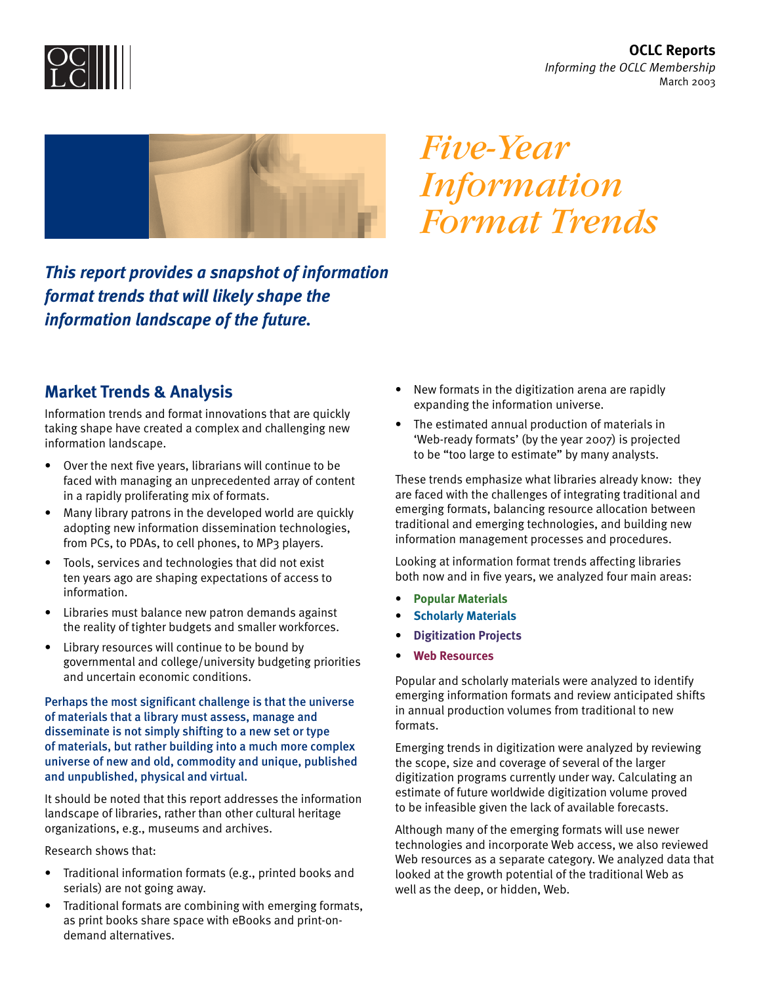**OCLC Reports** *Informing the OCLC Membership* March 2003





*Five-Year Information Format Trends*

*This report provides a snapshot of information format trends that will likely shape the information landscape of the future.* 

## **Market Trends & Analysis**

Information trends and format innovations that are quickly taking shape have created a complex and challenging new information landscape.

- Over the next five years, librarians will continue to be faced with managing an unprecedented array of content in a rapidly proliferating mix of formats.
- Many library patrons in the developed world are quickly adopting new information dissemination technologies, from PCs, to PDAs, to cell phones, to MP3 players.
- Tools, services and technologies that did not exist ten years ago are shaping expectations of access to information.
- Libraries must balance new patron demands against the reality of tighter budgets and smaller workforces.
- Library resources will continue to be bound by governmental and college/university budgeting priorities and uncertain economic conditions.

### Perhaps the most significant challenge is that the universe of materials that a library must assess, manage and disseminate is not simply shifting to a new set or type of materials, but rather building into a much more complex universe of new and old, commodity and unique, published and unpublished, physical and virtual.

It should be noted that this report addresses the information landscape of libraries, rather than other cultural heritage organizations, e.g., museums and archives.

Research shows that:

- Traditional information formats (e.g., printed books and serials) are not going away.
- Traditional formats are combining with emerging formats, as print books share space with eBooks and print-ondemand alternatives.
- New formats in the digitization arena are rapidly expanding the information universe.
- The estimated annual production of materials in 'Web-ready formats' (by the year 2007) is projected to be "too large to estimate" by many analysts.

These trends emphasize what libraries already know: they are faced with the challenges of integrating traditional and emerging formats, balancing resource allocation between traditional and emerging technologies, and building new information management processes and procedures.

Looking at information format trends affecting libraries both now and in five years, we analyzed four main areas:

- **Popular Materials**
- **Scholarly Materials**
- **Digitization Projects**
- **Web Resources**

Popular and scholarly materials were analyzed to identify emerging information formats and review anticipated shifts in annual production volumes from traditional to new formats.

Emerging trends in digitization were analyzed by reviewing the scope, size and coverage of several of the larger digitization programs currently under way. Calculating an estimate of future worldwide digitization volume proved to be infeasible given the lack of available forecasts.

Although many of the emerging formats will use newer technologies and incorporate Web access, we also reviewed Web resources as a separate category. We analyzed data that looked at the growth potential of the traditional Web as well as the deep, or hidden, Web.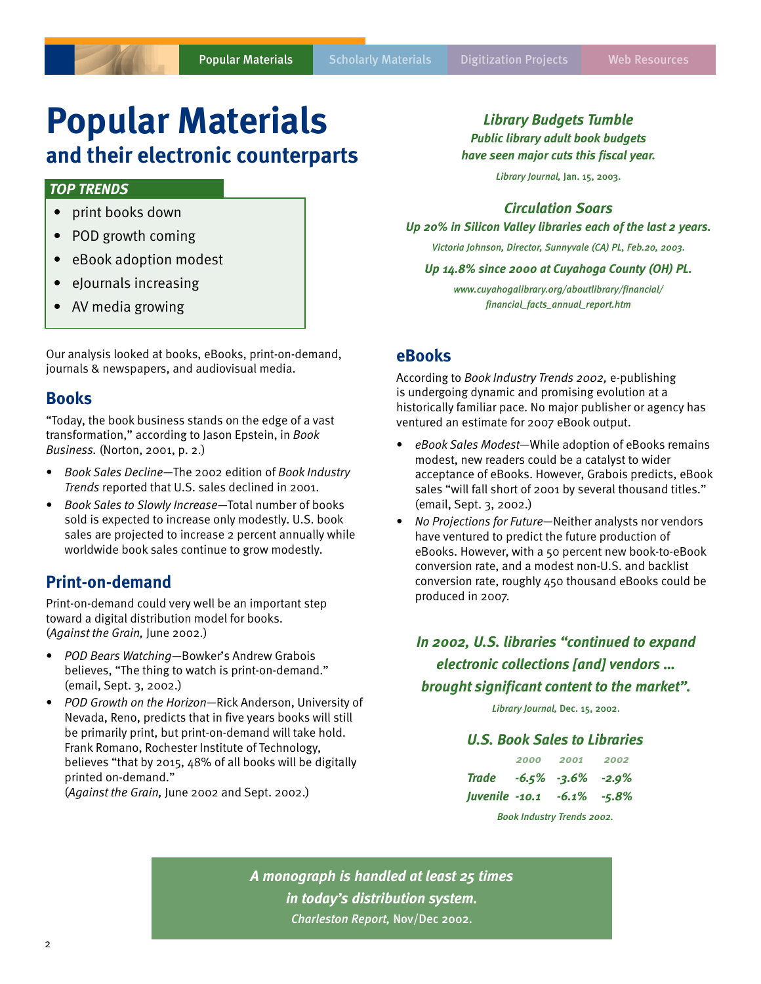# **Popular Materials**

# **and their electronic counterparts**

## *TOP TRENDS*

- print books down
- POD growth coming
- eBook adoption modest
- eJournals increasing
- AV media growing

Our analysis looked at books, eBooks, print-on-demand, journals & newspapers, and audiovisual media.

## **Books**

"Today, the book business stands on the edge of a vast transformation," according to Jason Epstein, in *Book Business.* (Norton, 2001, p. 2.)

- *Book Sales Decline*—The 2002 edition of *Book Industry Trends* reported that U.S. sales declined in 2001.
- *Book Sales to Slowly Increase*—Total number of books sold is expected to increase only modestly. U.S. book sales are projected to increase 2 percent annually while worldwide book sales continue to grow modestly.

## **Print-on-demand**

Print-on-demand could very well be an important step toward a digital distribution model for books. (*Against the Grain,* June 2002.)

- *POD Bears Watching*—Bowker's Andrew Grabois believes, "The thing to watch is print-on-demand." (email, Sept. 3, 2002.)
- *POD Growth on the Horizon*—Rick Anderson, University of Nevada, Reno, predicts that in five years books will still be primarily print, but print-on-demand will take hold. Frank Romano, Rochester Institute of Technology, believes "that by 2015, 48% of all books will be digitally printed on-demand."

(*Against the Grain,* June 2002 and Sept. 2002.)

*Library Budgets Tumble*

*Public library adult book budgets*

*have seen major cuts this fiscal year.*

*Library Journal,* Jan. 15, 2003.

## *Circulation Soars*

*Up 20% in Silicon Valley libraries each of the last 2 years.*

*Victoria Johnson, Director, Sunnyvale (CA) PL, Feb.20, 2003.*

*Up 14.8% since 2000 at Cuyahoga County (OH) PL.*

*www.cuyahogalibrary.org/aboutlibrary/financial/ financial\_facts\_annual\_report.htm*

## **eBooks**

According to *Book Industry Trends 2002,* e-publishing is undergoing dynamic and promising evolution at a historically familiar pace. No major publisher or agency has ventured an estimate for 2007 eBook output.

- *eBook Sales Modest*—While adoption of eBooks remains modest, new readers could be a catalyst to wider acceptance of eBooks. However, Grabois predicts, eBook sales "will fall short of 2001 by several thousand titles." (email, Sept. 3, 2002.)
- *No Projections for Future*—Neither analysts nor vendors have ventured to predict the future production of eBooks. However, with a 50 percent new book-to-eBook conversion rate, and a modest non-U.S. and backlist conversion rate, roughly 450 thousand eBooks could be produced in 2007.

*In 2002, U.S. libraries "continued to expand electronic collections [and] vendors … brought significant content to the market".*

*Library Journal,* Dec. 15, 2002.

## *U.S. Book Sales to Libraries*

|                                  |  | 2000 2001 2002 |  |
|----------------------------------|--|----------------|--|
| Trade $-6.5\%$ $-3.6\%$ $-2.9\%$ |  |                |  |
| Juvenile -10.1 -6.1% -5.8%       |  |                |  |
| Book Industry Trends 2002.       |  |                |  |

*A monograph is handled at least 25 times in today's distribution system. Charleston Report,* Nov/Dec 2002.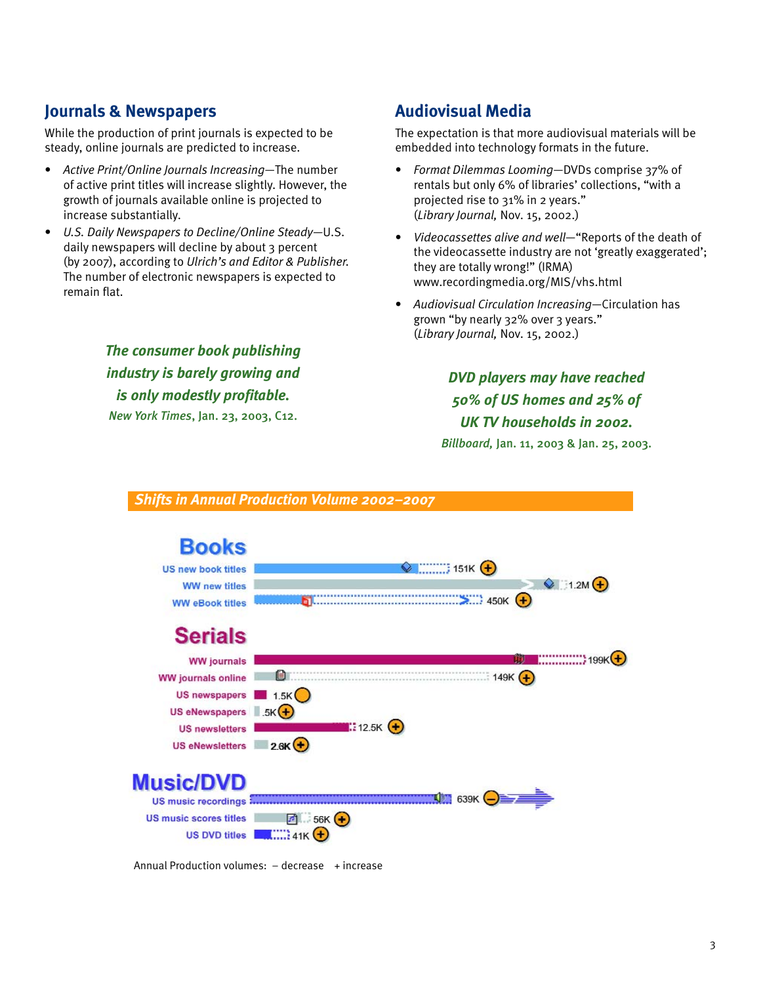## **Journals & Newspapers**

While the production of print journals is expected to be steady, online journals are predicted to increase.

- *Active Print/Online Journals Increasing*—The number of active print titles will increase slightly. However, the growth of journals available online is projected to increase substantially.
- *U.S. Daily Newspapers to Decline/Online Steady*—U.S. daily newspapers will decline by about 3 percent (by 2007), according to *Ulrich's and Editor & Publisher.* The number of electronic newspapers is expected to remain flat.

*The consumer book publishing industry is barely growing and is only modestly profitable. New York Times*, Jan. 23, 2003, C12.

## **Audiovisual Media**

The expectation is that more audiovisual materials will be embedded into technology formats in the future.

- *Format Dilemmas Looming*—DVDs comprise 37% of rentals but only 6% of libraries' collections, "with a projected rise to 31% in 2 years." (*Library Journal,* Nov. 15, 2002.)
- *Videocassettes alive and well*—"Reports of the death of the videocassette industry are not 'greatly exaggerated'; they are totally wrong!" (IRMA) www.recordingmedia.org/MIS/vhs.html
- *Audiovisual Circulation Increasing*—Circulation has grown "by nearly 32% over 3 years." (*Library Journal,* Nov. 15, 2002.)

*DVD players may have reached 50% of US homes and 25% of UK TV households in 2002.*

*Billboard,* Jan. 11, 2003 & Jan. 25, 2003.



Annual Production volumes:  $-$  decrease  $+$  increase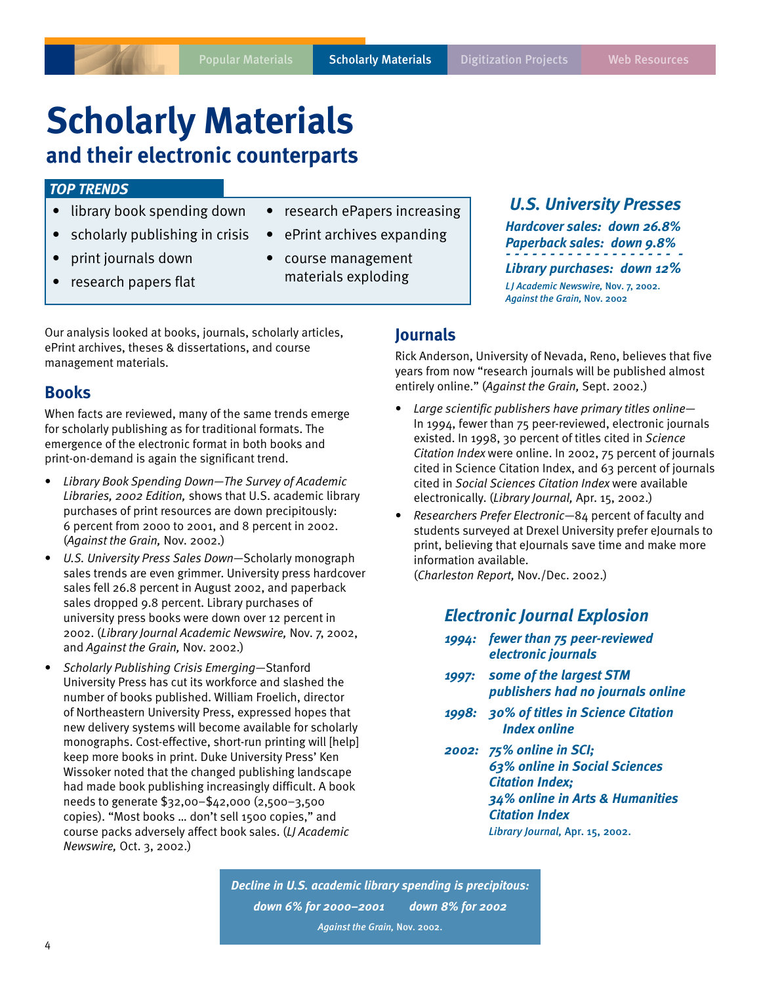# **Scholarly Materials**

# **and their electronic counterparts**

## *TOP TRENDS*

- library book spending down
- scholarly publishing in crisis
- print journals down
- research papers flat
- research ePapers increasing
- ePrint archives expanding
- course management materials exploding

Our analysis looked at books, journals, scholarly articles, ePrint archives, theses & dissertations, and course management materials.

## **Books**

When facts are reviewed, many of the same trends emerge for scholarly publishing as for traditional formats. The emergence of the electronic format in both books and print-on-demand is again the significant trend.

- *Library Book Spending Down—The Survey of Academic Libraries, 2002 Edition,* shows that U.S. academic library purchases of print resources are down precipitously: 6 percent from 2000 to 2001, and 8 percent in 2002. (*Against the Grain,* Nov. 2002.)
- *U.S. University Press Sales Down*—Scholarly monograph sales trends are even grimmer. University press hardcover sales fell 26.8 percent in August 2002, and paperback sales dropped 9.8 percent. Library purchases of university press books were down over 12 percent in 2002. (*Library Journal Academic Newswire,* Nov. 7, 2002, and *Against the Grain,* Nov. 2002.)
- *Scholarly Publishing Crisis Emerging*—Stanford University Press has cut its workforce and slashed the number of books published. William Froelich, director of Northeastern University Press, expressed hopes that new delivery systems will become available for scholarly monographs. Cost-effective, short-run printing will [help] keep more books in print. Duke University Press' Ken Wissoker noted that the changed publishing landscape had made book publishing increasingly difficult. A book needs to generate \$32,00–\$42,000 (2,500–3,500 copies). "Most books … don't sell 1500 copies," and course packs adversely affect book sales. (*LJ Academic Newswire,* Oct. 3, 2002.)

#### *Hardcover sales: down 26.8% Paperback sales: down 9.8%*

*- - - - - - - - - - - - - - - - - - - - Library purchases: down 12%*

*U.S. University Presses*

*L J Academic Newswire,* Nov. 7, 2002. *Against the Grain,* Nov. 2002

## **Journals**

Rick Anderson, University of Nevada, Reno, believes that five years from now "research journals will be published almost entirely online." (*Against the Grain,* Sept. 2002.)

- *Large scientific publishers have primary titles online* In 1994, fewer than 75 peer-reviewed, electronic journals existed. In 1998, 30 percent of titles cited in *Science Citation Index* were online. In 2002, 75 percent of journals cited in Science Citation Index, and 63 percent of journals cited in *Social Sciences Citation Index* were available electronically. (*Library Journal,* Apr. 15, 2002.)
- *Researchers Prefer Electronic*—84 percent of faculty and students surveyed at Drexel University prefer eJournals to print, believing that eJournals save time and make more information available.

(*Charleston Report,* Nov./Dec. 2002.)

## *Electronic Journal Explosion*

- *1994: fewer than 75 peer-reviewed electronic journals*
- *1997: some of the largest STM publishers had no journals online*
- *1998: 30% of titles in Science Citation Index online*
- *2002: 75% online in SCI; 63% online in Social Sciences Citation Index; 34% online in Arts & Humanities Citation Index Library Journal,* Apr. 15, 2002.

*Decline in U.S. academic library spending is precipitous: down 6% for 2000–2001 down 8% for 2002 Against the Grain,* Nov. 2002.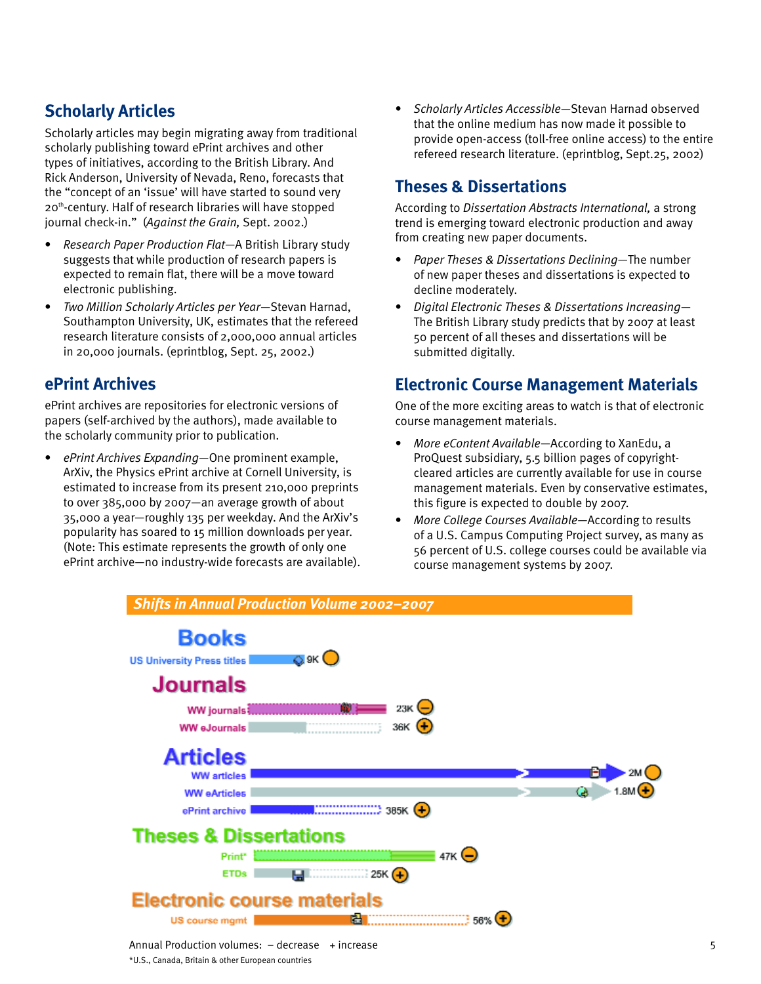# **Scholarly Articles**

Scholarly articles may begin migrating away from traditional scholarly publishing toward ePrint archives and other types of initiatives, according to the British Library. And Rick Anderson, University of Nevada, Reno, forecasts that the "concept of an 'issue' will have started to sound very 20th-century. Half of research libraries will have stopped journal check-in." (*Against the Grain,* Sept. 2002.)

- *Research Paper Production Flat*—A British Library study suggests that while production of research papers is expected to remain flat, there will be a move toward electronic publishing.
- *Two Million Scholarly Articles per Year*—Stevan Harnad, Southampton University, UK, estimates that the refereed research literature consists of 2,000,000 annual articles in 20,000 journals. (eprintblog, Sept. 25, 2002.)

# **ePrint Archives**

ePrint archives are repositories for electronic versions of papers (self-archived by the authors), made available to the scholarly community prior to publication.

• *ePrint Archives Expanding*—One prominent example, ArXiv, the Physics ePrint archive at Cornell University, is estimated to increase from its present 210,000 preprints to over 385,000 by 2007—an average growth of about 35,000 a year—roughly 135 per weekday. And the ArXiv's popularity has soared to 15 million downloads per year. (Note: This estimate represents the growth of only one ePrint archive—no industry-wide forecasts are available). • *Scholarly Articles Accessible*—Stevan Harnad observed that the online medium has now made it possible to provide open-access (toll-free online access) to the entire refereed research literature. (eprintblog, Sept.25, 2002)

# **Theses & Dissertations**

According to *Dissertation Abstracts International,* a strong trend is emerging toward electronic production and away from creating new paper documents.

- *Paper Theses & Dissertations Declining*—The number of new paper theses and dissertations is expected to decline moderately.
- *Digital Electronic Theses & Dissertations Increasing* The British Library study predicts that by 2007 at least 50 percent of all theses and dissertations will be submitted digitally.

# **Electronic Course Management Materials**

One of the more exciting areas to watch is that of electronic course management materials.

- *More eContent Available*—According to XanEdu, a ProQuest subsidiary, 5.5 billion pages of copyrightcleared articles are currently available for use in course management materials. Even by conservative estimates, this figure is expected to double by 2007.
- *More College Courses Available*—According to results of a U.S. Campus Computing Project survey, as many as 56 percent of U.S. college courses could be available via course management systems by 2007.

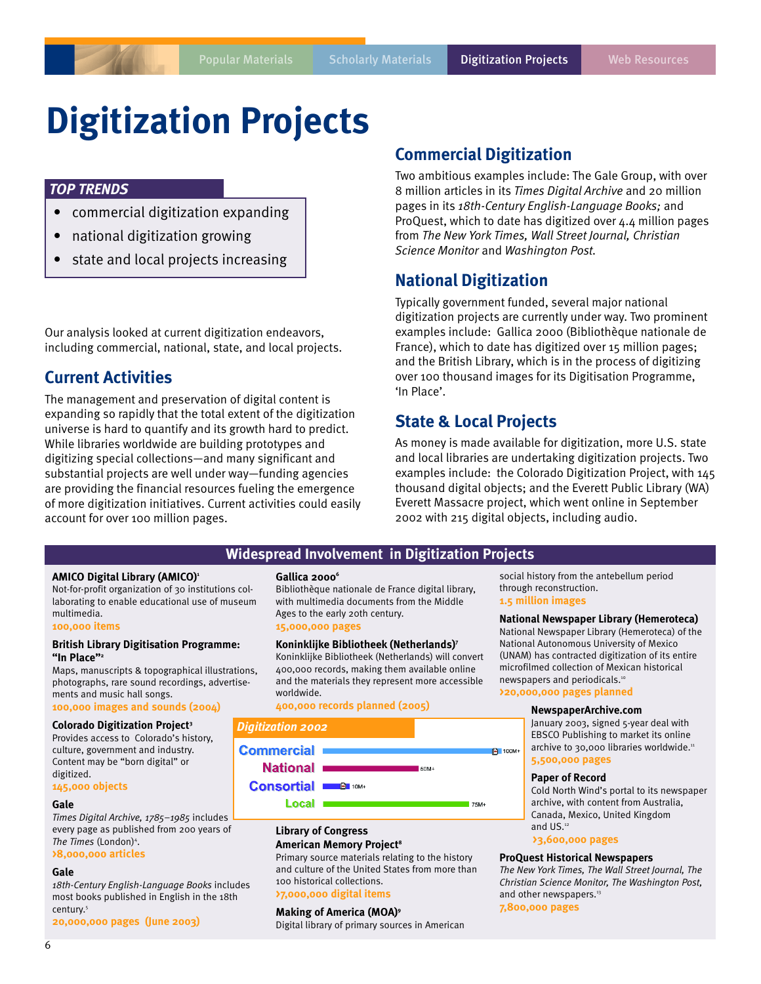# **Digitization Projects**

## *TOP TRENDS*

- commercial digitization expanding
- national digitization growing
- state and local projects increasing

Our analysis looked at current digitization endeavors, including commercial, national, state, and local projects.

## **Current Activities**

The management and preservation of digital content is expanding so rapidly that the total extent of the digitization universe is hard to quantify and its growth hard to predict. While libraries worldwide are building prototypes and digitizing special collections—and many significant and substantial projects are well under way—funding agencies are providing the financial resources fueling the emergence of more digitization initiatives. Current activities could easily account for over 100 million pages.

## **Commercial Digitization**

Two ambitious examples include: The Gale Group, with over 8 million articles in its *Times Digital Archive* and 20 million pages in its *18th-Century English-Language Books;* and ProQuest, which to date has digitized over 4.4 million pages from *The New York Times, Wall Street Journal, Christian Science Monitor* and *Washington Post.*

## **National Digitization**

Typically government funded, several major national digitization projects are currently under way. Two prominent examples include: Gallica 2000 (Bibliothèque nationale de France), which to date has digitized over 15 million pages; and the British Library, which is in the process of digitizing over 100 thousand images for its Digitisation Programme, 'In Place'.

## **State & Local Projects**

As money is made available for digitization, more U.S. state and local libraries are undertaking digitization projects. Two examples include: the Colorado Digitization Project, with 145 thousand digital objects; and the Everett Public Library (WA) Everett Massacre project, which went online in September 2002 with 215 digital objects, including audio.

## **Widespread Involvement in Digitization Projects**

#### **AMICO Digital Library (AMICO)1**

Not-for-profit organization of 30 institutions collaborating to enable educational use of museum multimedia.

#### **100,000 items**

#### **British Library Digitisation Programme: "In Place"2**

Maps, manuscripts & topographical illustrations, photographs, rare sound recordings, advertisements and music hall songs.

## **100,000 images and sounds (2004)**

**Colorado Digitization Project3**

Provides access to Colorado's history, culture, government and industry. Content may be "born digital" or digitized.

#### **145,000 objects**

#### **Gale**

*Times Digital Archive, 1785–1985* includes every page as published from 200 years of The Times (London)<sup>4</sup>.

### **>8,000,000 articles**

#### **Gale**

*18th-Century English-Language Books* includes most books published in English in the 18th century.5

**20,000,000 pages (June 2003)**

#### Gallica 2000<sup>6</sup>

Bibliothèque nationale de France digital library, with multimedia documents from the Middle Ages to the early 20th century. **15,000,000 pages**

#### **Koninklijke Bibliotheek (Netherlands)7**

Koninklijke Bibliotheek (Netherlands) will convert 400,000 records, making them available online and the materials they represent more accessible worldwide.

**400,000 records planned (2005)**

#### *Digitization 2002*



Local 1

#### **Library of Congress American Memory Project<sup>8</sup>**

Primary source materials relating to the history and culture of the United States from more than 100 historical collections. **>7,000,000 digital items**

## **Making of America (MOA)9**

Digital library of primary sources in American

social history from the antebellum period through reconstruction. **1.5 million images**

**National Newspaper Library (Hemeroteca)** National Newspaper Library (Hemeroteca) of the National Autonomous University of Mexico (UNAM) has contracted digitization of its entire microfilmed collection of Mexican historical newspapers and periodicals.10

#### **>20,000,000 pages planned**

#### **NewspaperArchive.com**

January 2003, signed 5-year deal with EBSCO Publishing to market its online archive to 30,000 libraries worldwide.<sup>11</sup> **5,500,000 pages**

#### **Paper of Record**

<sup>3</sup>100M+

75M+

Cold North Wind's portal to its newspaper archive, with content from Australia, Canada, Mexico, United Kingdom and US.<sup>12</sup>

**>3,600,000 pages**

#### **ProQuest Historical Newspapers**

*The New York Times, The Wall Street Journal, The Christian Science Monitor, The Washington Post,* and other newspapers.<sup>13</sup>

**7,800,000 pages**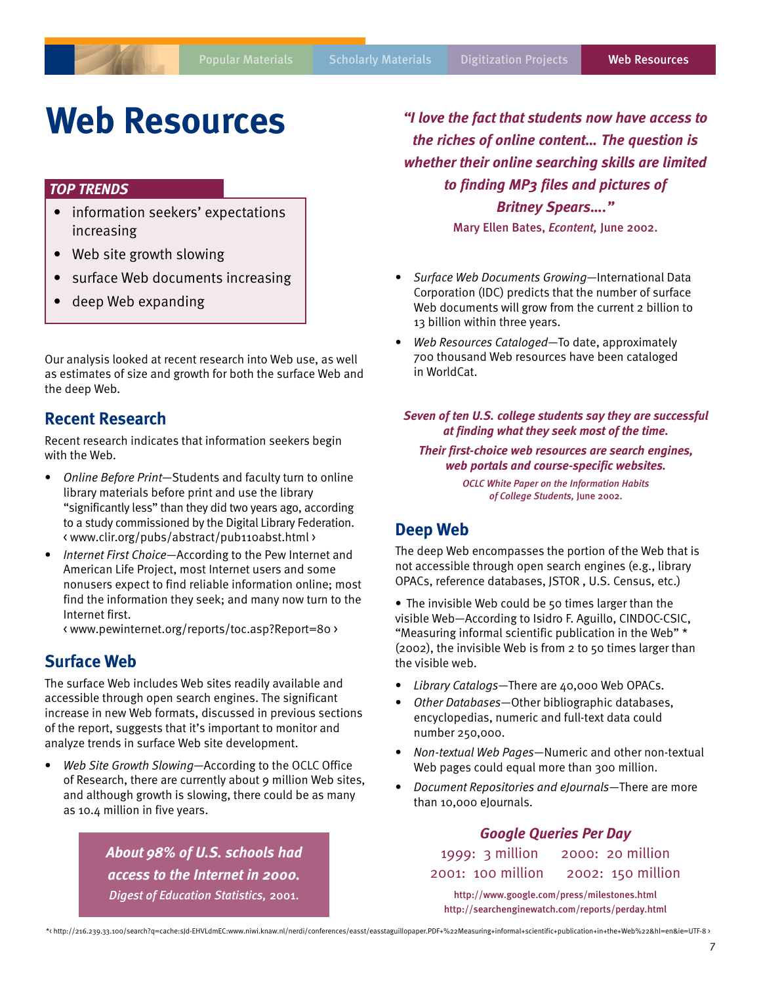# **Web Resources**

## *TOP TRENDS*

- information seekers' expectations increasing
- Web site growth slowing
- surface Web documents increasing
- deep Web expanding

Our analysis looked at recent research into Web use, as well as estimates of size and growth for both the surface Web and the deep Web.

## **Recent Research**

Recent research indicates that information seekers begin with the Web.

- *Online Before Print*—Students and faculty turn to online library materials before print and use the library "significantly less" than they did two years ago, according to a study commissioned by the Digital Library Federation. < www.clir.org/pubs/abstract/pub110abst.html >
- *Internet First Choice*—According to the Pew Internet and American Life Project, most Internet users and some nonusers expect to find reliable information online; most find the information they seek; and many now turn to the Internet first.

< www.pewinternet.org/reports/toc.asp?Report=80 >

## **Surface Web**

The surface Web includes Web sites readily available and accessible through open search engines. The significant increase in new Web formats, discussed in previous sections of the report, suggests that it's important to monitor and analyze trends in surface Web site development.

• *Web Site Growth Slowing*—According to the OCLC Office of Research, there are currently about 9 million Web sites, and although growth is slowing, there could be as many as 10.4 million in five years.

> *About 98% of U.S. schools had access to the Internet in 2000. Digest of Education Statistics,* 2001.

*"I love the fact that students now have access to the riches of online content… The question is whether their online searching skills are limited to finding MP3 files and pictures of Britney Spears…."* Mary Ellen Bates, *Econtent,* June 2002.

- *Surface Web Documents Growing*—International Data Corporation (IDC) predicts that the number of surface Web documents will grow from the current 2 billion to 13 billion within three years.
- *Web Resources Cataloged*—To date, approximately 700 thousand Web resources have been cataloged in WorldCat.

### *Seven of ten U.S. college students say they are successful at finding what they seek most of the time.*

*Their first-choice web resources are search engines, web portals and course-specific websites.*

> *OCLC White Paper on the Information Habits of College Students,* June 2002.

## **Deep Web**

The deep Web encompasses the portion of the Web that is not accessible through open search engines (e.g., library OPACs, reference databases, JSTOR , U.S. Census, etc.)

• The invisible Web could be 50 times larger than the visible Web—According to Isidro F. Aguillo, CINDOC-CSIC, "Measuring informal scientific publication in the Web" \* (2002), the invisible Web is from 2 to 50 times larger than the visible web.

- *Library Catalogs*—There are 40,000 Web OPACs.
- *Other Databases*—Other bibliographic databases, encyclopedias, numeric and full-text data could number 250,000.
- *Non-textual Web Pages*—Numeric and other non-textual Web pages could equal more than 300 million.
- *Document Repositories and eJournals*—There are more than 10,000 eJournals.

## *Google Queries Per Day*

1999: 3 million 2000: 20 million 2001: 100 million 2002: 150 million http://www.google.com/press/milestones.html http://searchenginewatch.com/reports/perday.html

\*< http://216.239.33.100/search?q=cache:sJd-EHVLdmEC:www.niwi.knaw.nl/nerdi/conferences/easst/easstaguillopaper.PDF+%22Measuring+informal+scientific+publication+in+the+Web%22&hl=en&ie=UTF-8 >